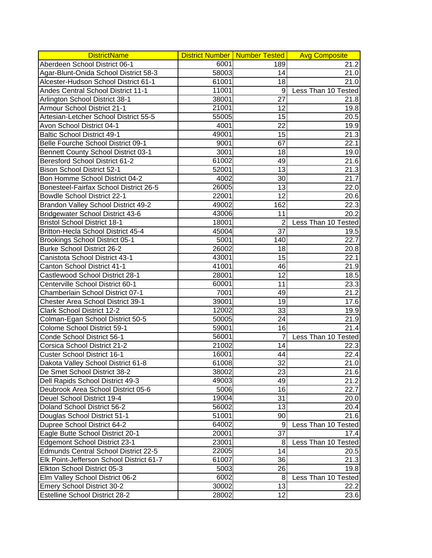| <b>DistrictName</b>                      |       | District Number   Number Tested | <b>Avg Composite</b> |
|------------------------------------------|-------|---------------------------------|----------------------|
| Aberdeen School District 06-1            | 6001  | 189                             | 21.2                 |
| Agar-Blunt-Onida School District 58-3    | 58003 | 14                              | 21.0                 |
| Alcester-Hudson School District 61-1     | 61001 | 18                              | 21.0                 |
| Andes Central School District 11-1       | 11001 | 9                               | Less Than 10 Tested  |
| Arlington School District 38-1           | 38001 | 27                              | 21.8                 |
| Armour School District 21-1              | 21001 | 12                              | 19.8                 |
| Artesian-Letcher School District 55-5    | 55005 | 15                              | 20.5                 |
| Avon School District 04-1                | 4001  | 22                              | 19.9                 |
| <b>Baltic School District 49-1</b>       | 49001 | 15                              | $\overline{21}.3$    |
| Belle Fourche School District 09-1       | 9001  | 67                              | 22.1                 |
| Bennett County School District 03-1      | 3001  | 18                              | 19.0                 |
| Beresford School District 61-2           | 61002 | 49                              | 21.6                 |
| <b>Bison School District 52-1</b>        | 52001 | 13                              | 21.3                 |
| Bon Homme School District 04-2           | 4002  | 30                              | 21.7                 |
| Bonesteel-Fairfax School District 26-5   | 26005 | 13                              | 22.0                 |
| Bowdle School District 22-1              | 22001 | 12                              | 20.6                 |
| Brandon Valley School District 49-2      | 49002 | 162                             | 22.3                 |
| Bridgewater School District 43-6         | 43006 | 11                              | 20.2                 |
| <b>Bristol School District 18-1</b>      | 18001 | 2                               | Less Than 10 Tested  |
| Britton-Hecla School District 45-4       | 45004 | 37                              | 19.5                 |
| Brookings School District 05-1           | 5001  | 140                             | 22.7                 |
| <b>Burke School District 26-2</b>        | 26002 | 18                              | 20.8                 |
|                                          | 43001 |                                 |                      |
| Canistota School District 43-1           | 41001 | 15                              | 22.1                 |
| Canton School District 41-1              |       | 46                              | 21.9                 |
| Castlewood School District 28-1          | 28001 | 12                              | 18.5                 |
| Centerville School District 60-1         | 60001 | 11                              | 23.3                 |
| Chamberlain School District 07-1         | 7001  | 49                              | 21.2                 |
| Chester Area School District 39-1        | 39001 | 19                              | 17.6                 |
| <b>Clark School District 12-2</b>        | 12002 | 33                              | 19.9                 |
| Colman-Egan School District 50-5         | 50005 | 24                              | 21.9                 |
| Colome School District 59-1              | 59001 | 16                              | 21.4                 |
| Conde School District 56-1               | 56001 | $\overline{7}$                  | Less Than 10 Tested  |
| Corsica School District 21-2             | 21002 | 14                              | 22.3                 |
| <b>Custer School District 16-1</b>       | 16001 | 44                              | 22.4                 |
| Dakota Valley School District 61-8       | 61008 | 32                              | 21.0                 |
| De Smet School District 38-2             | 38002 | 23                              | 21.6                 |
| Dell Rapids School District 49-3         | 49003 | 49                              | 21.2                 |
| Deubrook Area School District 05-6       | 5006  | 16                              | 22.7                 |
| Deuel School District 19-4               | 19004 | 31                              | 20.0                 |
| Doland School District 56-2              | 56002 | 13                              | 20.4                 |
| Douglas School District 51-1             | 51001 | 90                              | 21.6                 |
| Dupree School District 64-2              | 64002 | 9                               | Less Than 10 Tested  |
| Eagle Butte School District 20-1         | 20001 | 37                              | 17.4                 |
| Edgemont School District 23-1            | 23001 | 8                               | Less Than 10 Tested  |
| Edmunds Central School District 22-5     | 22005 | 14                              | 20.5                 |
| Elk Point-Jefferson School District 61-7 | 61007 | 36                              | 21.3                 |
| Elkton School District 05-3              | 5003  | 26                              | 19.8                 |
| Elm Valley School District 06-2          | 6002  | 8                               | Less Than 10 Tested  |
| <b>Emery School District 30-2</b>        | 30002 | 13                              | 22.2                 |
| <b>Estelline School District 28-2</b>    | 28002 | 12                              | 23.6                 |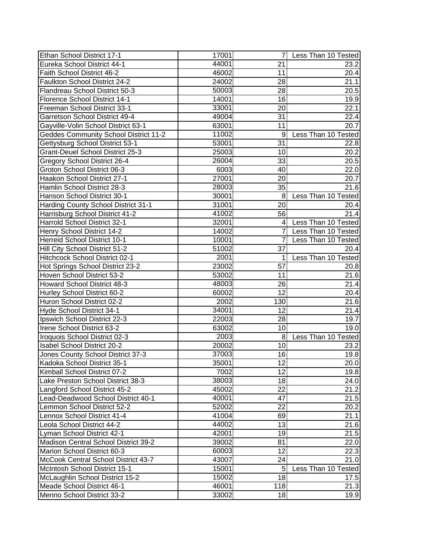| Ethan School District 17-1                   | 17001 |                | Less Than 10 Tested |
|----------------------------------------------|-------|----------------|---------------------|
| Eureka School District 44-1                  | 44001 | 21             | 23.2                |
| Faith School District 46-2                   | 46002 | 11             | 20.4                |
| Faulkton School District 24-2                | 24002 | 28             | 21.1                |
| Flandreau School District 50-3               | 50003 | 28             | 20.5                |
| Florence School District 14-1                | 14001 | 16             | 19.9                |
| Freeman School District 33-1                 | 33001 | 20             | 22.1                |
| Garretson School District 49-4               | 49004 | 31             | $\overline{2}$ 2.4  |
| Gayville-Volin School District 63-1          | 63001 | 11             | 20.7                |
| <b>Geddes Community School District 11-2</b> | 11002 | 9              | Less Than 10 Tested |
| Gettysburg School District 53-1              | 53001 | 31             | 22.8                |
| <b>Grant-Deuel School District 25-3</b>      | 25003 | 10             | 20.2                |
| Gregory School District 26-4                 | 26004 | 33             | 20.5                |
| Groton School District 06-3                  | 6003  | 40             | 22.0                |
| Haakon School District 27-1                  | 27001 | 20             | 20.7                |
| Hamlin School District 28-3                  | 28003 | 35             | 21.6                |
| Hanson School District 30-1                  | 30001 | 8              | Less Than 10 Tested |
| Harding County School District 31-1          | 31001 | 20             | 20.4                |
| Harrisburg School District 41-2              | 41002 | 56             | 21.4                |
| Harrold School District 32-1                 | 32001 | $\overline{4}$ | Less Than 10 Tested |
| Henry School District 14-2                   | 14002 | $\overline{7}$ | Less Than 10 Tested |
| Herreid School District 10-1                 | 10001 | $\overline{7}$ | Less Than 10 Tested |
| Hill City School District 51-2               | 51002 | 37             | 20.4                |
| Hitchcock School District 02-1               | 2001  |                | Less Than 10 Tested |
| Hot Springs School District 23-2             | 23002 | 57             | 20.8                |
| Hoven School District 53-2                   | 53002 | 11             | 21.6                |
| Howard School District 48-3                  | 48003 | 26             | 21.4                |
| Hurley School District 60-2                  | 60002 | 12             | 20.4                |
| Huron School District 02-2                   | 2002  | 130            | 21.6                |
| Hyde School District 34-1                    | 34001 | 12             | 21.4                |
| Ipswich School District 22-3                 | 22003 | 28             | 19.7                |
| Irene School District 63-2                   | 63002 | 10             | 19.0                |
| Iroquois School District 02-3                | 2003  | 8 <sup>1</sup> | Less Than 10 Tested |
| Isabel School District 20-2                  | 20002 | 10             | 23.2                |
| Jones County School District 37-3            | 37003 | 16             | 19.8                |
| Kadoka School District 35-1                  | 35001 | 12             | 20.0                |
| Kimball School District 07-2                 | 7002  | 12             | 19.8                |
| Lake Preston School District 38-3            | 38003 | 18             | 24.0                |
| Langford School District 45-2                | 45002 | 22             | 21.2                |
| Lead-Deadwood School District 40-1           | 40001 | 47             | 21.5                |
| Lemmon School District 52-2                  | 52002 | 22             | 20.2                |
| Lennox School District 41-4                  | 41004 | 69             | 21.1                |
| Leola School District 44-2                   | 44002 | 13             | 21.6                |
| Lyman School District 42-1                   | 42001 | 19             | 21.5                |
| Madison Central School District 39-2         | 39002 | 81             | 22.0                |
| Marion School District 60-3                  | 60003 | 12             | 22.3                |
| McCook Central School District 43-7          | 43007 | 24             | 21.0                |
| McIntosh School District 15-1                | 15001 | 5              | Less Than 10 Tested |
| McLaughlin School District 15-2              | 15002 | 18             | 17.5                |
| Meade School District 46-1                   | 46001 | 118            | 21.3                |
| Menno School District 33-2                   | 33002 | 18             | 19.9                |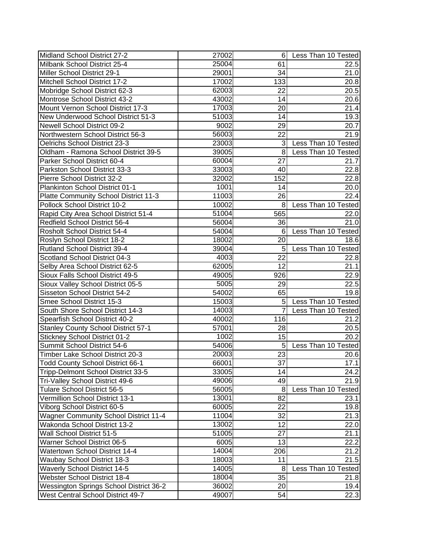| Midland School District 27-2               | 27002 | 6I  | Less Than 10 Tested |
|--------------------------------------------|-------|-----|---------------------|
| Milbank School District 25-4               | 25004 | 61  | 22.5                |
| Miller School District 29-1                | 29001 | 34  | 21.0                |
| Mitchell School District 17-2              | 17002 | 133 | 20.8                |
| Mobridge School District 62-3              | 62003 | 22  | 20.5                |
| Montrose School District 43-2              | 43002 | 14  | 20.6                |
| Mount Vernon School District 17-3          | 17003 | 20  | 21.4                |
| New Underwood School District 51-3         | 51003 | 14  | 19.3                |
| Newell School District 09-2                | 9002  | 29  | 20.7                |
| Northwestern School District 56-3          | 56003 | 22  | 21.9                |
| Oelrichs School District 23-3              | 23003 | 3   | Less Than 10 Tested |
| Oldham - Ramona School District 39-5       | 39005 | 8   | Less Than 10 Tested |
| Parker School District 60-4                | 60004 | 27  | 21.7                |
| Parkston School District 33-3              | 33003 | 40  | 22.8                |
| Pierre School District 32-2                | 32002 | 152 | 22.8                |
| Plankinton School District 01-1            | 1001  | 14  | 20.0                |
| Platte Community School District 11-3      | 11003 | 26  | 22.4                |
| Pollock School District 10-2               | 10002 | 8   | Less Than 10 Tested |
| Rapid City Area School District 51-4       | 51004 | 565 | 22.0                |
| Redfield School District 56-4              | 56004 | 36  | 21.0                |
| Rosholt School District 54-4               | 54004 | 6   | Less Than 10 Tested |
| Roslyn School District 18-2                | 18002 | 20  | 18.6                |
| Rutland School District 39-4               | 39004 | 5   | Less Than 10 Tested |
| Scotland School District 04-3              | 4003  | 22  | 22.8                |
| Selby Area School District 62-5            | 62005 | 12  | 21.1                |
| Sioux Falls School District 49-5           | 49005 | 926 | 22.9                |
| Sioux Valley School District 05-5          | 5005  | 29  | 22.5                |
| Sisseton School District 54-2              | 54002 | 65  | 19.8                |
| Smee School District 15-3                  | 15003 | 5   | Less Than 10 Tested |
| South Shore School District 14-3           | 14003 |     | Less Than 10 Tested |
| Spearfish School District 40-2             | 40002 | 116 | 21.2                |
| <b>Stanley County School District 57-1</b> | 57001 | 28  | 20.5                |
| <b>Stickney School District 01-2</b>       | 1002  | 15  | 20.2                |
| Summit School District 54-6                | 54006 | 5   | Less Than 10 Tested |
| Timber Lake School District 20-3           | 20003 | 23  | 20.6                |
| Todd County School District 66-1           | 66001 | 37  | 17.1                |
| Tripp-Delmont School District 33-5         | 33005 | 14  | 24.2                |
| Tri-Valley School District 49-6            | 49006 | 49  | 21.9                |
| Tulare School District 56-5                | 56005 | 8   | Less Than 10 Tested |
| Vermillion School District 13-1            | 13001 | 82  | 23.1                |
| Viborg School District 60-5                | 60005 | 22  | 19.8                |
| Wagner Community School District 11-4      | 11004 | 32  | 21.3                |
| Wakonda School District 13-2               | 13002 | 12  | 22.0                |
| Wall School District 51-5                  | 51005 | 27  | 21.1                |
| Warner School District 06-5                | 6005  | 13  | 22.2                |
| Watertown School District 14-4             | 14004 | 206 | 21.2                |
| Waubay School District 18-3                | 18003 | 11  | 21.5                |
| Waverly School District 14-5               | 14005 | 8   | Less Than 10 Tested |
| Webster School District 18-4               | 18004 | 35  | 21.8                |
| Wessington Springs School District 36-2    | 36002 | 20  | 19.4                |
| West Central School District 49-7          | 49007 | 54  | 22.3                |